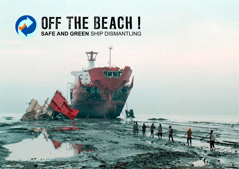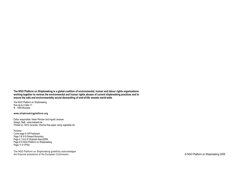**The NGO Platform on Shipbreaking is a global coalition of environmental, human and labour rights organisations working together to reverse the environmental and human rights abuses of current shipbreaking practices and to ensure the safe and environmentally sound dismantling of end-of-life vessels world-wide.** 

The NGO Platform on Shipbreaking Rue de la Linière 11 B - 1060 Brussels

#### **www.shipbreakingplatform.org**

Editor responsible: Helen Périvier and Ingvild Jenssen Design: BeB - www.bebweb.be Printed on 100% recycled, chlorine-free paper using vegetable ink.

Pictures: Cover page © GP/Yashwant Page 3 & 9 © Edward Burtynsky Page 4, 5 & 6 © Shahidul Alam/DRIK Page 8 © NGO Platform on Shipbreaking Page 11 © YPSA

The NGO Platform on Shipbreaking gratefully acknowledges the financial assistance of the European Commission.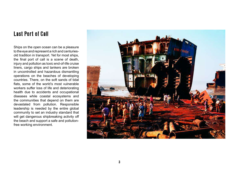# Last Port of Call

Ships on the open ocean can be a pleasure to the eye and represent a rich and centuriesold tradition in transport. Yet for most ships, the final port of call is a scene of death, injury and pollution as toxic end-of-life cruise liners, cargo ships and tankers are broken in uncontrolled and hazardous dismantling operations on the beaches of developing countries. There, on the soft sands of tidal flats, some of the world's most vulnerable workers suffer loss of life and deteriorating health due to accidents and occupational diseases while coastal ecosystems and the communities that depend on them are devastated from pollution. Responsible leadership is needed by the entire global community to set an industry standard that will get dangerous shipbreaking activity off the beach and support a safe and pollutionfree working environment.

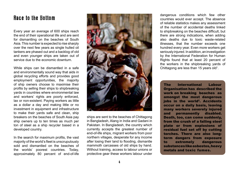#### Race to the Bottom

Every year an average of 600 ships reach the end of their operational life and are sent for dismantling on the beaches of South Asia. This number is expected to rise sharply over the next few years as single hulled oil tankers are phased out and a backlog of old and even younger ships are taken out of service due to the economic downturn.

While ships can be dismantled in a safe and environmentally sound way that aids in global recycling efforts and provides good employment opportunities, the majority of ship owners choose to maximise their profits by selling their ships to shipbreaking yards in countries where environmental law and workers' rights are poorly enforced, lax or non-existent. Paying workers as little as a dollar a day and making little or no investment in equipment and infrastructure to make their yards safe and clean, ship breakers on the beaches of South Asia pay ship owners up to ten times as much per ton of steel as a ship recycler based in a developed country.

In the search for maximum profits, the vast majority of the world's fleet is unscrupulously sold and dismantled on the beaches of the worlds' poorest countries. Today, approximately 80 percent of end-of-life



ships are sent to the beaches of Chittagong in Bangladesh, Alang in India and Gadani in Pakistan. In Bangladesh, the country which currently accepts the greatest number of end-of-life ships, migrant workers from poor northern villages, desperate for any income after losing their land to flooding, dismantle mammoth carcasses of old ships by hand. Without training, access to labour unions or protective gear these workers labour under

dangerous conditions which few other countries would ever accept. The absence of reliable statistics makes any assessment of the number of accidental deaths linked to shipbreaking on the beaches difficult, but there are strong indications, when adding also deaths due to toxic waste-related illnesses, that the number exceeds one hundred every year. Even more workers get seriously injured. In addition, an investigation by the International Federation for Human Rights found that at least 20 percent of the workers in the shipbreaking yards of Chittagong are less than 15 years old<sup>1</sup>.

The International Labour Organisation has described the work on breaking beaches as amongst the most dangerous iobs in the world<sup>2</sup>. Accidents occur on a daily basis, leaving many workers severely injured and permanently disabled. Death, too, can come suddenly, from the crush of a falling steel plate or from explosions of residual fuel set off by cutting torches. There are also longterm dangers from exposure to extremely dangerous substances like asbestos, heavy metals and toxic fumes.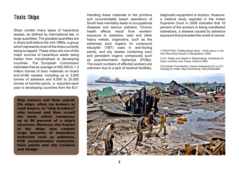#### Toxic Ships

Ships contain many types of hazardous wastes, as defined by international law, in large quantities. The greatest quantities are in ships built before the mid-1980s, a group which represents most of the ships currently being scrapped. These ships are one of the major sources of hazardous waste being traded from industrialised to developing countries. The European Commission estimates that an average of 400,000 to 1.3 million tonnes of toxic materials on board end-of-life vessels, including up to 3,000 tonnes of asbestos and 6,000 to 20,000 tonnes of harmful paints, is exported each year to developing countries from the EU<sup>3</sup>.

Ship owners sell their end-oflife ships, often via brokers or cash buyers, to "ship breakers" who recover and then re-sell the steel, which comprises up to 90 percent of a ship's structure. However, the frames of the ships also contain large amounts of hazardous materials such as asbestos, PCB contaminated materials, toxic paints and oily residues and sludge.

Handling these materials in the primitive and uncontrollable beach operations of South Asia inevitably leads to occupational diseases and serious pollution. Chronic health effects result from workers' exposure to asbestos, lead and other heavy metals, organotins, such as the extremely toxic organic tin compound tributyltin (TBT) used in anti-fouling paints, and oily wastes containing toxic and persistent organic compounds such as polychlorinated biphenyls (PCBs). The exact numbers of affected workers are unknown due to a lack of medical facilities,

diagnostic equipment or doctors. However, a medical study reported in the Indian Supreme Court in 2006 indicated that 16 percent of the workers in Alang manifested asbestosis, a disease caused by asbestos exposure that precedes the onset of cancer.

1 FIDH/YPSA: *Childbreaking Yards - Child Labour in the Ship Recycling Industry in Bangladesh*, 2008

2 ILO: *Safety and Health in Shipbreaking: Guidelines for Asian countries and Turkey*, Geneva 2004

3 European Commission: *Impact Assessment for an EU Strategy for better Ship Dismantling*, SEC(2008)2846

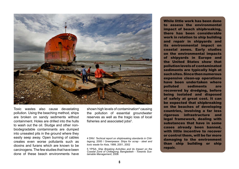

Toxic wastes also cause devastating pollution. Using the beaching method, ships are broken on sandy sediments without containment. Holes are drilled into the hulls to wash out the oil. Sludge and other nonbiodegradable contaminants are dumped into unsealed pits in the ground where they easily seep away. Open burning of cables creates even worse pollutants such as dioxins and furans which are known to be carcinogens. The few studies that have been done of these beach environments have

shown high levels of contamination<sup>4</sup> causing the pollution of essential groundwater reserves as well as the tragic loss of local fisheries and associated jobs<sup>5</sup>.

4 DNV: *Techical report on shipbreaking standards in Chittagong*, 2000 / Greenpeace: *Ships for scrap - steel and toxic waste for Asia*, 1999, 2001, 2002

5 YPSA: *Ship Breaking Activities and its Impact on the Coastal Zone of Chittagong*, Bangladesh - *Towards Sustainable Management*, 2006

While little work has been done to assess the environmental impact of beach shipbreaking, there has been considerable work in relation to ship building and repair in shipyards and its environmental impact on coastal zones. Early studies on the environmental impacts of shipyards in Europe and the United States show that pollution levels of contaminated sediments are typically high at such sites. Since then numerous expensive clean-up operations have been undertaken where polluted sediments are recovered by dredging, before being isolated and disposed of safely at great cost. It can be expected that shipbreaking on the beaches of developing countries, involving a far less rigorous infrastructure and legal framework, dealing with substances that have in some cases already been banned, with little incentive to recover or control them, will be far more damaging to the environment than ship building or ship repair.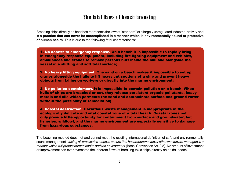# The fatal flaws of beach breaking

Breaking ships directly on beaches represents the lowest "standard" of a largely unregulated industrial activity and is **a practice that can never be accomplished in a manner which is environmentally sound or protective of human health**. This is due to the following fatal characteristics:

1. No access to emergency response. On a beach it is impossible to rapidly bring in emergency response equipment, including fire-fighting equipment and vehicles, ambulances and cranes to remove persons hurt inside the hull and alongside the vessel in a shifting and soft tidal surface;

2. No heavy lifting equipment. The sand on a beach makes it impossible to set up cranes alongside the hulls to lift heavy cut sections of a ship and prevent heavy objects from falling on workers or directly into the marine environment;

3. No pollution containment. It is impossible to contain pollution on a beach. When hulls of ships are breached or cut, they release persistent organic pollutants, heavy metals and oils which permeate the sand and contaminate surface and ground water without the possibility of remediation;

4. Coastal destruction. Hazardous waste management is inappropriate in the ecologically delicate and vital coastal zone of a tidal beach. Coastal zones not only provide little opportunity for containment from surface and groundwater, but fisheries, wildfowl, and the marine environment are especially sensitive to damage from hazardous substances.

The beaching method does not and cannot meet the existing international definition of safe and environmentally sound management - *taking all practicable steps to ensure that hazardous wastes or other wastes are managed in a manner which will protect human health and the environment* (Basel Convention Art. 2.8). No amount of investment or improvement can ever overcome the inherent flaws of breaking toxic ships directly on a tidal beach.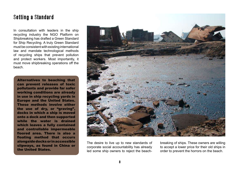# Setting a Standard

In consultation with leaders in the ship recycling industry the NGO Platform on Shipbreaking has drafted a Green Standard for Ship Recycling. A truly Green Standard must be consistent with existing international law and mandate technological methods of recycling ships that prevent pollution and protect workers. Most importantly, it must move shipbreaking operations off the beach.

Alternatives to beaching that can prevent releases of toxic pollutants and provide far safer working conditions are already in use in ship recycling yards in Europe and the United States. These methods involve either the use of dry, or "graving", docks in which a ship is moved onto a dock and then supported while the water is drained which leaves a fully contained and controllable impermeable floored area. There is also a floating method that occurs alongside docks or in accessible slipways, as found in China or the United States.



The desire to live up to new standards of corporate social accountability has already led some ship owners to reject the beachbreaking of ships. These owners are willing to accept a lower price for their old ships in order to prevent the horrors on the beach.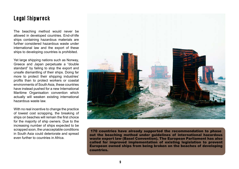### Legal Shipwreck

The beaching method would never be allowed in developed countries. End-of-life ships containing hazardous materials are further considered hazardous waste under international law and the export of these ships to developing countries is prohibited.

Yet large shipping nations such as Norway, Greece and Japan perpetuate a "double standard" by failing to stop the export and unsafe dismantling of their ships. Doing far more to protect their shipping industries' profits than to protect workers or coastal environments of South Asia, these countries have instead pushed for a new International Maritime Organisation convention which actually will weaken existing international hazardous waste law.

With no real incentive to change the practice of lowest cost scrapping, the breaking of ships on beaches will remain the first choice for the majority of ship owners. Due to the increasing number of ships expected to be scrapped soon, the unacceptable conditions in South Asia could deteriorate and spread even further to countries in Africa.



170 countries have already supported the recommendation to phase out the beaching method under guidelines of international hazardous waste export law (Basel Convention). The European Parliament has also called for improved implementation of existing legislation to prevent European owned ships from being broken on the beaches of developing countries.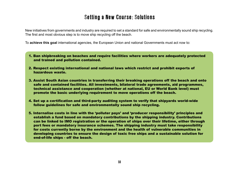# Setting a New Course: Solutions

New initiatives from governments and industry are required to set a standard for safe and environmentally sound ship recycling. The first and most obvious step is to move ship recycling off the beach.

To **achieve this goal** international agencies, the European Union and national Governments must act now to:

- 1. Ban shipbreaking on beaches and require facilities where workers are adequately protected and trained and pollution contained.
- 2. Respect existing international and national laws which restrict and prohibit exports of hazardous waste.
- 3. Assist South Asian countries in transferring their breaking operations off the beach and onto safe and contained facilities. All investments, bilateral trade agreements, aid programmes, technical assistance and cooperation (whether at national, EU or World Bank level) must promote the basic underlying requirement to move operations off the beach.
- 4. Set up a certification and third-party auditing system to verify that shipyards world-wide follow guidelines for safe and environmentally sound ship recycling.
- 5. Internalise costs in line with the 'polluter pays' and 'producer responsibility' principles and establish a fund based on mandatory contributions by the shipping industry. Contributions can be linked to IMO registration or the operation of ships over their lifetime, either through port fees or mandatory insurance schemes. The shipping industry must take responsibility for costs currently borne by the environment and the health of vulnerable communities in developing countries to ensure the design of toxic free ships and a sustainable solution for end-of-life ships - off the beach.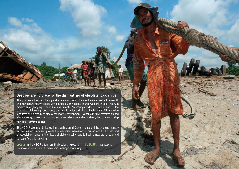#### **Beaches are no place for the dismantling of obsolete toxic ships !**

This practice is heavily polluting and a death trap for workers as they are unable to safely lift and manoeuvre heavy objects with cranes, quickly access injured workers or quell fires with modern emergency equipment. Any investment in "improving conditions" on the beach is the equivalent of throwing good money and intentions towards the untimely death of South Asian labourers and a steady decline of the marine environment. Rather, all future investments and efforts must go towards a rapid transition to sustainable and ethical recycling by moving ship recycling **–** *off the beach .*

The NGO Platform on Shipbreaking is calling on all Governments and the shipping industry to take responsibility and provide the leadership necessary to put an end to this sad and unacceptable chapter in the history of global shipping, and to begin a new era, of safe and pollution-free ship recycling.

*Join us* in the NGO Platform on Shipbreaking's global **OFF THE BEACH** ! campaign. For more information visit: www.shipbreakingplatform.org